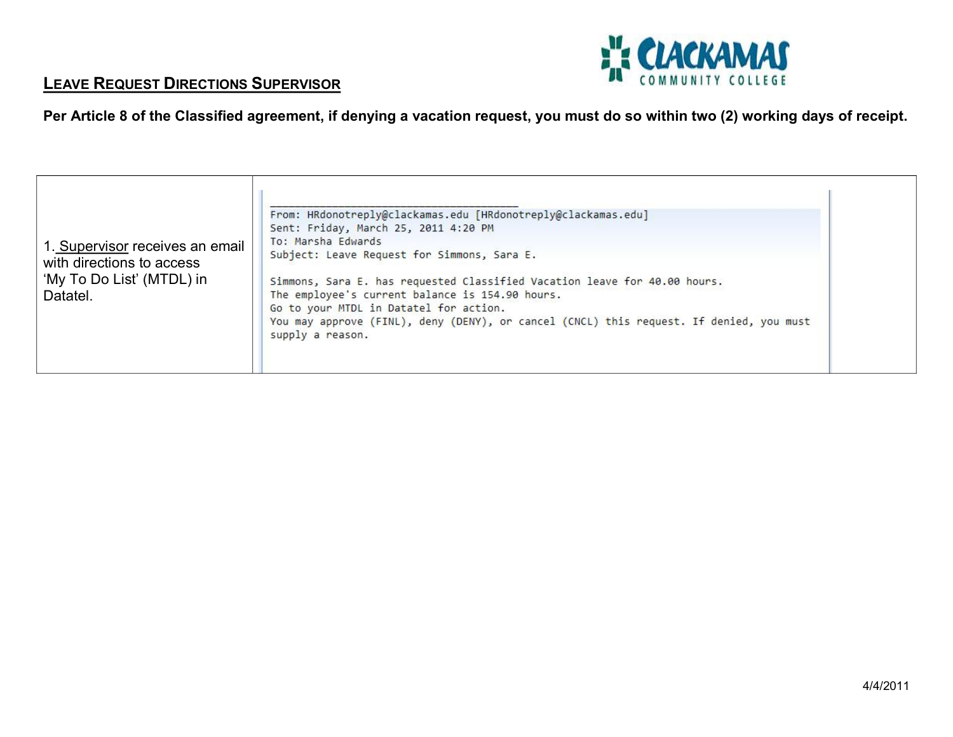

## **LEAVE REQUEST DIRECTIONS SUPERVISOR**

| Per Article 8 of the Classified agreement, if denying a vacation request, you must do so within two (2) working days of receipt. |
|----------------------------------------------------------------------------------------------------------------------------------|
|----------------------------------------------------------------------------------------------------------------------------------|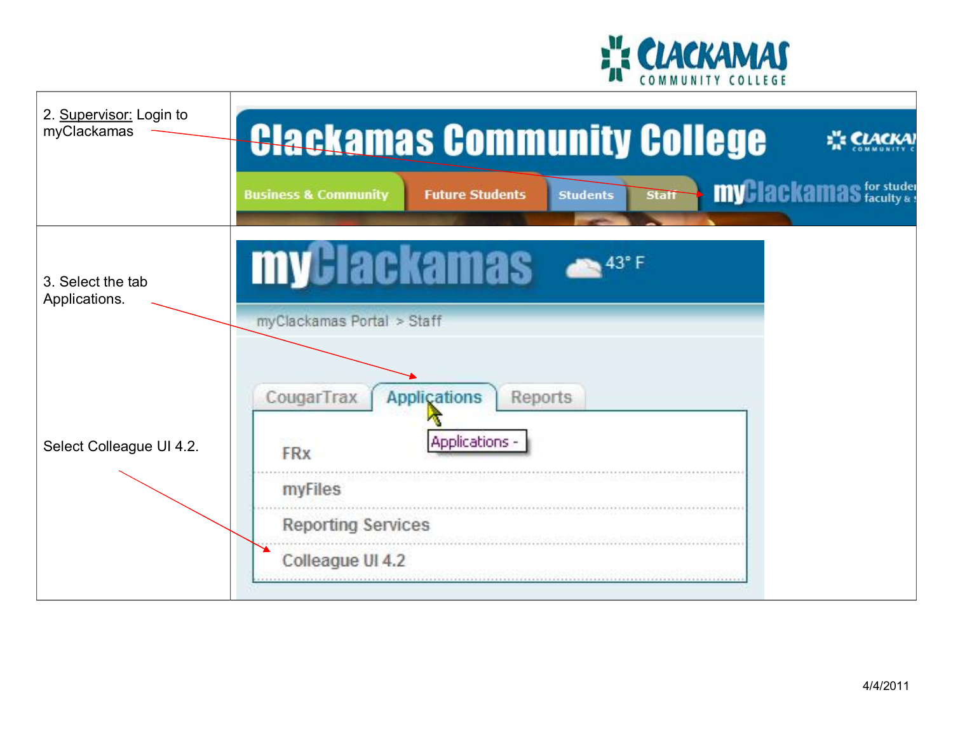

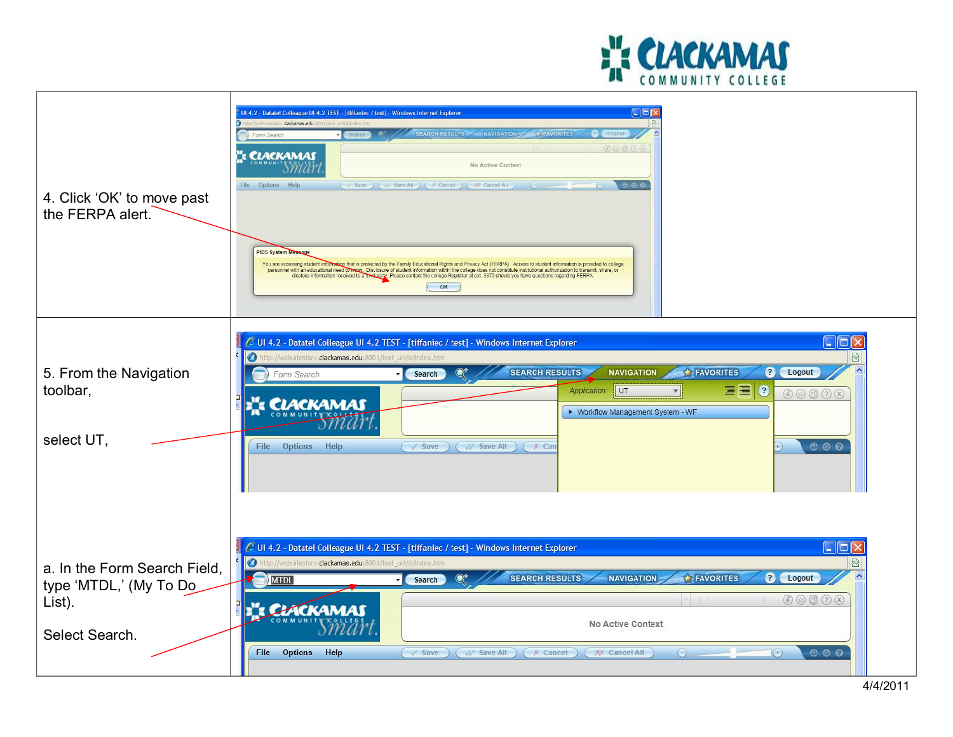

|                              | Inix<br>Ul 4.2 - Datatel Colleague Ul 4.2 TEST - [tiffaniec / test] - Windows Internet Explorer                                                                                                                                                                                                                                                                                                          |                             |  |
|------------------------------|----------------------------------------------------------------------------------------------------------------------------------------------------------------------------------------------------------------------------------------------------------------------------------------------------------------------------------------------------------------------------------------------------------|-----------------------------|--|
|                              | dackamas.edu:                                                                                                                                                                                                                                                                                                                                                                                            |                             |  |
|                              | <b>SEARCH RESULTS</b><br>NAVIGATION-<br><b>EAVORITES</b><br>orm Search                                                                                                                                                                                                                                                                                                                                   |                             |  |
|                              | (75)(2)(x)<br>": CLACKAMAS<br>No Active Context                                                                                                                                                                                                                                                                                                                                                          |                             |  |
|                              | $\n  ②\n  ②$<br>File Options Help<br>( Save ) ( W Save All ) ( X Cancel ) ( XX Cancel All )                                                                                                                                                                                                                                                                                                              |                             |  |
| 4. Click 'OK' to move past   |                                                                                                                                                                                                                                                                                                                                                                                                          |                             |  |
| the FERPA alert.             |                                                                                                                                                                                                                                                                                                                                                                                                          |                             |  |
|                              |                                                                                                                                                                                                                                                                                                                                                                                                          |                             |  |
|                              |                                                                                                                                                                                                                                                                                                                                                                                                          |                             |  |
|                              | <b>PID5 System Message</b>                                                                                                                                                                                                                                                                                                                                                                               |                             |  |
|                              | You are accessing student information that is protected by the Family Educational Rights and Privacy Act (FERPA). Access to student information is provided to college<br>personnel with an educational need to www. Disclosure of student information within the college does not constitute institutional authorization to transmit, share, or disclose information received to a this that per Please |                             |  |
|                              | OK                                                                                                                                                                                                                                                                                                                                                                                                       |                             |  |
|                              |                                                                                                                                                                                                                                                                                                                                                                                                          |                             |  |
|                              |                                                                                                                                                                                                                                                                                                                                                                                                          |                             |  |
|                              |                                                                                                                                                                                                                                                                                                                                                                                                          |                             |  |
|                              | UI 4.2 - Datatel Colleague UI 4.2 TEST - [tiffaniec / test] - Windows Internet Explorer                                                                                                                                                                                                                                                                                                                  | $\Box$ $\Box$ $\times$      |  |
|                              | m<br>tp://webuitestsrv. <b>clackamas.edu</b> :8001/test_ui4/sl/index.htm                                                                                                                                                                                                                                                                                                                                 | ☆                           |  |
| 5. From the Navigation       | <b>SEARCH RESULTS</b><br><b>NAVIGATION</b><br>FAVORITES<br>$\blacktriangle$<br>? Logout<br>Form Search<br>Search                                                                                                                                                                                                                                                                                         |                             |  |
| toolbar,                     | Application: UT                                                                                                                                                                                                                                                                                                                                                                                          | $\left($<br>00000           |  |
|                              | CLACKAMAS<br>▶ Workflow Management System - WF                                                                                                                                                                                                                                                                                                                                                           |                             |  |
|                              |                                                                                                                                                                                                                                                                                                                                                                                                          |                             |  |
| select UT,                   |                                                                                                                                                                                                                                                                                                                                                                                                          |                             |  |
|                              | File Options Help<br>Save ( W Save All ) ( X Can                                                                                                                                                                                                                                                                                                                                                         | 880                         |  |
|                              |                                                                                                                                                                                                                                                                                                                                                                                                          |                             |  |
|                              |                                                                                                                                                                                                                                                                                                                                                                                                          |                             |  |
|                              |                                                                                                                                                                                                                                                                                                                                                                                                          |                             |  |
|                              |                                                                                                                                                                                                                                                                                                                                                                                                          |                             |  |
|                              |                                                                                                                                                                                                                                                                                                                                                                                                          |                             |  |
|                              | C UI 4.2 - Datatel Colleague UI 4.2 TEST - [tiffaniec / test] - Windows Internet Explorer                                                                                                                                                                                                                                                                                                                | $\Box$                      |  |
|                              | $\bullet$<br>http://webuitestsrv.clackamas.edu:8001/test_ui4/sl/index.htm                                                                                                                                                                                                                                                                                                                                | ₩                           |  |
| a. In the Form Search Field, | <b>SEARCH RESULTS</b><br><b>NAVIGATION</b><br><b>FAVORITES</b>                                                                                                                                                                                                                                                                                                                                           | ? Logout                    |  |
| type 'MTDL,' (My To Do       | <b>MTDL</b><br>Search                                                                                                                                                                                                                                                                                                                                                                                    |                             |  |
| List).                       |                                                                                                                                                                                                                                                                                                                                                                                                          | 00000                       |  |
|                              | <b>ELACKAMAS</b><br>No Active Context                                                                                                                                                                                                                                                                                                                                                                    |                             |  |
| Select Search.               |                                                                                                                                                                                                                                                                                                                                                                                                          |                             |  |
|                              | File Options Help<br>( Save ) ( W Save All ) ( X Cancel ) ( XX Cancel All<br>$(-)$                                                                                                                                                                                                                                                                                                                       | 880<br>$\left( \pm \right)$ |  |
|                              |                                                                                                                                                                                                                                                                                                                                                                                                          |                             |  |
|                              |                                                                                                                                                                                                                                                                                                                                                                                                          |                             |  |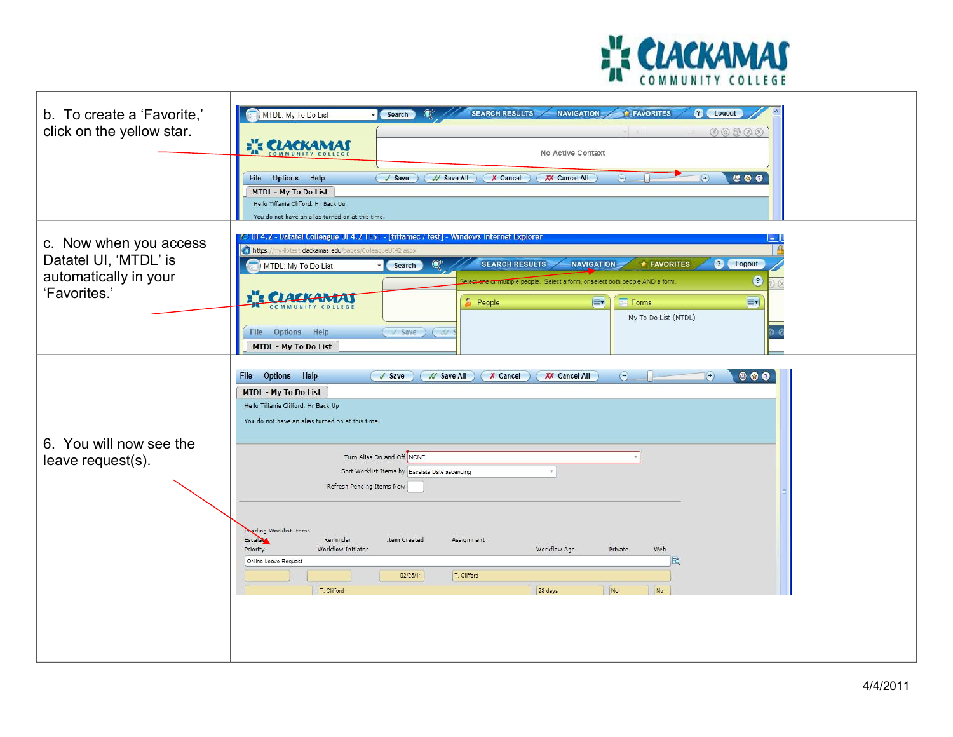

| b. To create a 'Favorite,'<br>click on the yellow star.                                  | <b>SEARCH RESULTS-</b><br><b>NAVIGATION</b><br><b>FAVORITES</b><br>? Logout<br>MTDL: My To Do List<br>Search<br>0 0 0 0 0 0<br><b>EXACKAMAS</b><br>No Active Context<br>000<br>File Options Help<br>$\sqrt{S}$ ave<br>( // Save All )   X Cancel<br><b>XX</b> Cancel All<br>$\odot$<br>$\Theta$<br><b>MTDL - My To Do List</b><br>Hello Tiffanie Clifford, Hr Back Up<br>You do not have an alias turned on at this time.                                                                                                                           |
|------------------------------------------------------------------------------------------|-----------------------------------------------------------------------------------------------------------------------------------------------------------------------------------------------------------------------------------------------------------------------------------------------------------------------------------------------------------------------------------------------------------------------------------------------------------------------------------------------------------------------------------------------------|
| c. Now when you access<br>Datatel UI, 'MTDL' is<br>automatically in your<br>'Favorites.' | <u> Datatel Colleague UI 4,7 TEST - [tiffamec / test] - Windows Internet Explorer</u><br>$\blacksquare$<br>to https:<br>ilptest.clackamas.edu/pages/ColleagueUI42.asp><br>? Logout<br><b>SEARCH RESULTS</b><br><b>NAVIGATION</b><br><b>+ FAVORITES</b><br>MTDL: My To Do List<br>Search<br>0<br>elect one or multiple people. Select a form, or select both people AND a form.<br>$\alpha$<br><b>:": CLACK</b><br>$\bullet$ People<br>EV<br>EV<br>Forms<br>My To Do List (MTDL)<br>File Options Help<br>V Save ) ( W<br><b>MTDL - My To Do List</b> |
| 6. You will now see the<br>leave request(s).                                             | $\odot$<br>$\begin{array}{ccccc}\n\bullet & \bullet & \bullet & \bullet\n\end{array}$<br>Options Help<br>$\sqrt{S}$ ave<br>V Save All<br>$X$ Cancel<br><b>XX</b> Cancel All<br>File<br>$(\bullet)$<br>MTDL - My To Do List<br>Hello Tiffanie Clifford, Hr Back Up<br>You do not have an alias turned on at this time.<br>Turn Alias On and Off NONE<br>Sort Worklist Items by Escalate Date ascending<br>$\bar{\mathbf{w}}$<br>Refresh Pending Items Now                                                                                            |
|                                                                                          | Panding Worklist Items<br>Escalat<br>Reminder<br>Item Created<br>Assignment<br>Priority<br>Workflow Initiator<br>Workflow Age<br>Private<br>Web<br>Bò<br>Online Leave Request<br>02/25/11<br>T. Clifford<br>T. Clifford<br>No<br>28 days<br>No                                                                                                                                                                                                                                                                                                      |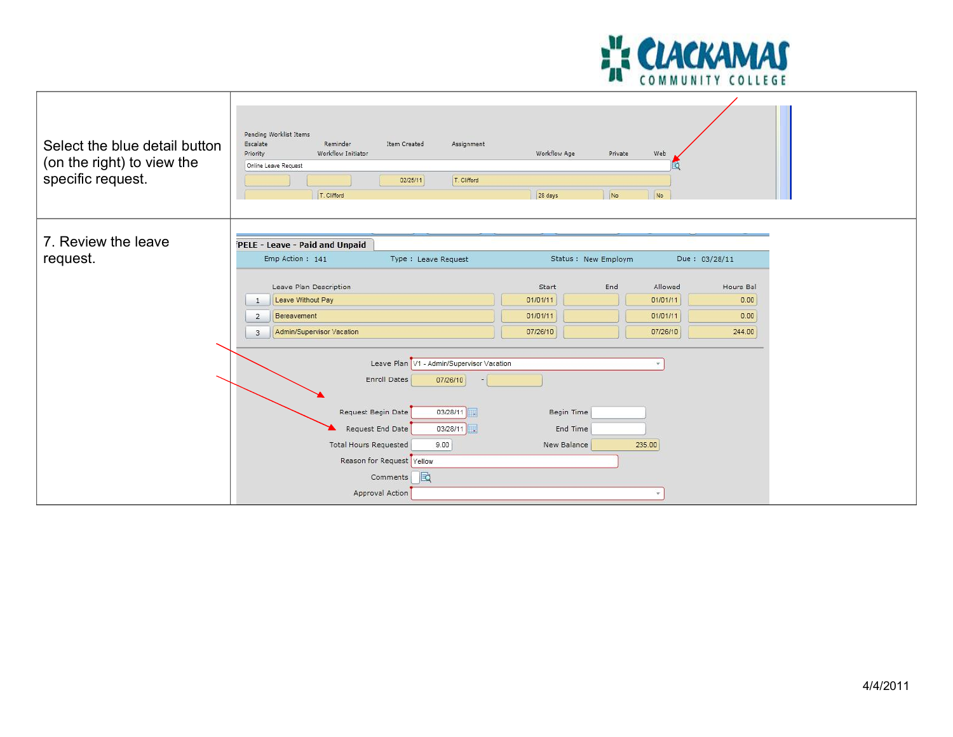

| Select the blue detail button<br>(on the right) to view the<br>specific request. | Pending Worklist Items<br>Escalate<br>Reminder<br>Item Created<br>Assignment<br>Workflow Initiator<br>Priority<br>Online Leave Request<br>02/25/11<br>T. Clifford<br>T. Clifford                                                                            | Workflow Age<br>Private<br>28 days<br>No                                 | Web<br>No                                                                                           |  |
|----------------------------------------------------------------------------------|-------------------------------------------------------------------------------------------------------------------------------------------------------------------------------------------------------------------------------------------------------------|--------------------------------------------------------------------------|-----------------------------------------------------------------------------------------------------|--|
| 7. Review the leave<br>request.                                                  | PELE - Leave - Paid and Unpaid<br>Emp Action: 141<br>Type : Leave Request<br>Leave Plan Description<br>Leave Without Pay<br>1<br>Bereavement<br>$\overline{2}$<br>Admin/Supervisor Vacation<br>$\mathbf{3}$                                                 | Status : New Employm<br>End<br>Start<br>01/01/11<br>01/01/11<br>07/26/10 | Due: 03/28/11<br>Allowed<br>Hours Bal<br>01/01/11<br>0.00<br>01/01/11<br>0.00<br>07/26/10<br>244.00 |  |
|                                                                                  | Leave Plan V1 - Admin/Supervisor Vacation<br><b>Enroll Dates</b><br>07/26/10<br>Request Begin Date<br>03/28/11<br>Request End Date<br>03/28/11<br><b>Total Hours Requested</b><br>9.00<br>Reason for Request Yellow<br>Comments <b>B</b><br>Approval Action | Begin Time<br>End Time<br>New Balance                                    | 235.00                                                                                              |  |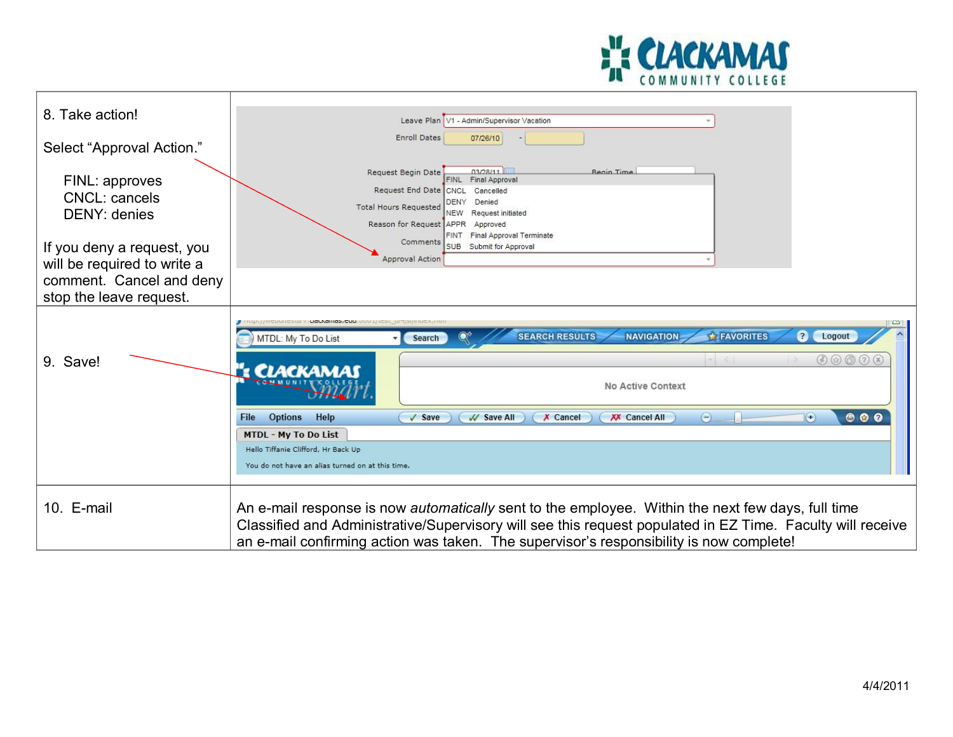

| 8. Take action!                                 | Leave Plan V1 - Admin/Supervisor Vacation                                                                                                                                                                                                                        |
|-------------------------------------------------|------------------------------------------------------------------------------------------------------------------------------------------------------------------------------------------------------------------------------------------------------------------|
| Select "Approval Action."                       | <b>Enroll Dates</b><br>07/26/10                                                                                                                                                                                                                                  |
| FINL: approves<br>CNCL: cancels<br>DENY: denies | Request Begin Date<br>03/28/11<br>Begin Time<br>FINL Final Approval<br>Request End Date<br>CNCL<br>Cancelled<br>DENY<br>Denied<br><b>Total Hours Requested</b><br>NEW Request initiated<br>Reason for Request APPR Approved<br>Final Approval Terminate<br>FINT. |
| If you deny a request, you                      | Comments<br>SUB Submit for Approval                                                                                                                                                                                                                              |
| will be required to write a                     | <b>Approval Action</b>                                                                                                                                                                                                                                           |
| comment. Cancel and deny                        |                                                                                                                                                                                                                                                                  |
| stop the leave request.                         |                                                                                                                                                                                                                                                                  |
| 9. Save!                                        | <b>CONNESSION VILLOCAGINOS, CUU, OUVILI ICSI</b><br><b>SEARCH RESULTS</b><br>$\overline{?}$<br><b>NAVIGATION</b><br><b>FAVORITES</b><br>Logout<br>MTDL: My To Do List<br>Search<br>$\circledcirc \circledcirc \circledcirc \circledcirc$                         |
|                                                 | : CLACKAMAS<br>No Active Context                                                                                                                                                                                                                                 |
|                                                 | $\bigodot$<br>000<br>$\left( \bullet \right)$<br><b>Options</b><br>Help<br><b>XX</b> Cancel All<br>File<br>$\sqrt{$ Save<br>V Save All<br>$X$ Cancel                                                                                                             |
|                                                 | <b>MTDL - My To Do List</b>                                                                                                                                                                                                                                      |
|                                                 | Hello Tiffanie Clifford, Hr Back Up                                                                                                                                                                                                                              |
|                                                 | You do not have an alias turned on at this time.                                                                                                                                                                                                                 |
| 10. E-mail                                      | An e-mail response is now <i>automatically</i> sent to the employee. Within the next few days, full time<br>Classified and Administrative/Supervisory will see this request populated in EZ Time. Faculty will receive                                           |
|                                                 | an e-mail confirming action was taken. The supervisor's responsibility is now complete!                                                                                                                                                                          |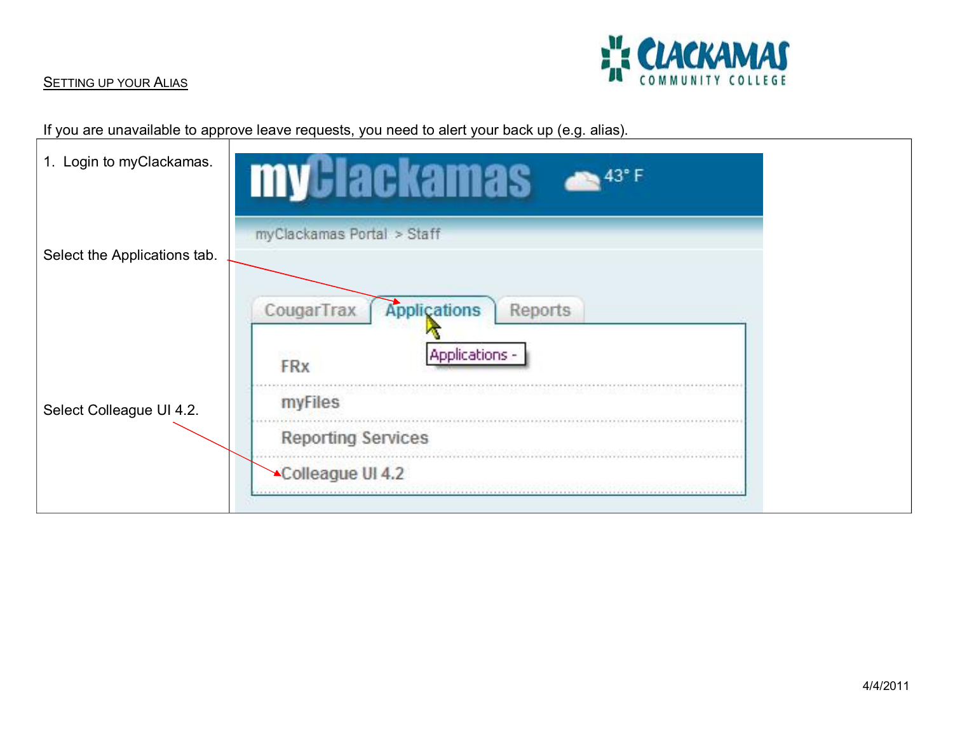

## **SETTING UP YOUR ALIAS**

If you are unavailable to approve leave requests, you need to alert your back up (e.g. alias).

| 1. Login to myClackamas.     | <b>myGlackamas</b>                                                    |
|------------------------------|-----------------------------------------------------------------------|
| Select the Applications tab. | myClackamas Portal > Staff                                            |
|                              | Applications<br>CougarTrax<br>Reports<br>Applications -<br><b>FRx</b> |
| Select Colleague UI 4.2.     | myFiles<br><b>Reporting Services</b>                                  |
|                              | Colleague UI 4.2                                                      |

┑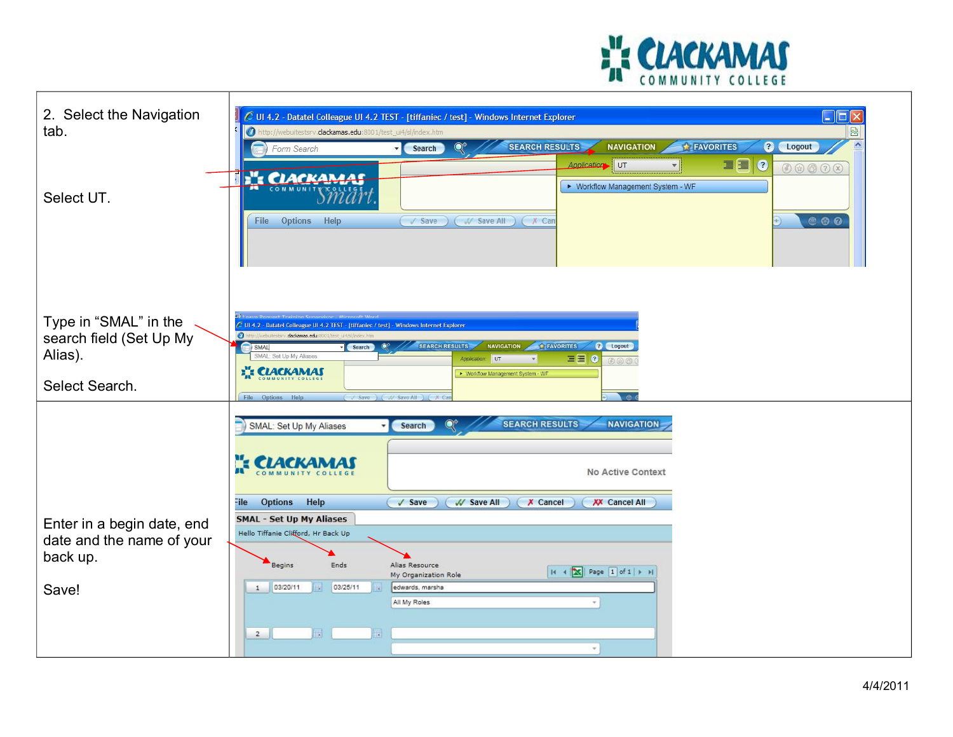

| 2. Select the Navigation<br>tab.<br>Select UT.                                | $\blacksquare$ ok<br>C UI 4.2 - Datatel Colleague UI 4.2 TEST - [tiffaniec / test] - Windows Internet Explorer<br>$\bullet$<br>http://webuitestsrv. <b>clackamas.edu</b> :8001/test_ui4/sl/index.htm<br>図<br><b>SEARCH RESULTS</b><br>FAVORITES<br>0<br>$\land$<br><b>NAVIGATION</b><br>Logout<br>Form Search<br>Search<br>■■●<br>Application UT<br>00000<br>E's CLACKAMAS<br>▶ Workflow Management System - WF<br><b>800</b><br>Options Help<br>Save ( V Save All ) ( X Can<br>File                                                         |
|-------------------------------------------------------------------------------|----------------------------------------------------------------------------------------------------------------------------------------------------------------------------------------------------------------------------------------------------------------------------------------------------------------------------------------------------------------------------------------------------------------------------------------------------------------------------------------------------------------------------------------------|
| Type in "SMAL" in the<br>search field (Set Up My<br>Alias).<br>Select Search. | C UI 4.2 - Datatel Colleague UI 4.2 TEST - [tiffaniec / test] - Windows Internet Explorer<br>$\bullet$<br>clackamas.edu<br>SEARCH RESULTS<br><b>NAVIGATION</b><br>? Logout<br>FAVORITES<br>SMAL<br>Search<br>SMAL: Set Up My Aliases<br>ee<br>Application: UT<br>$\circ$<br>$\circledR$ $\circledR$ $\circledR$<br><b>EXECUTE CLACKAMAS</b><br>▶ Workflow Management System - WF<br>File Options Help<br>( / Save ) ( // Save All ) ( X C                                                                                                    |
| Enter in a begin date, end<br>date and the name of your<br>back up.<br>Save!  | <b>SEARCH RESULTS</b><br>$\mathbb{Q}^*$<br><b>NAVIGATION</b><br>SMAL: Set Up My Aliases<br>Search<br><b>E CLACKAMAS</b><br>No Active Context<br>Options Help<br>File<br>$\sqrt{\text{Save}}$<br>W Save All<br>X Cancel<br><b>XX</b> Cancel All<br><b>SMAL - Set Up My Aliases</b><br>Hello Tiffanie Clifford, Hr Back Up<br>Begins<br>Ends<br>Alias Resource<br>$ A \times  X $ Page $ 1 \text{ of } 1 $ $\mapsto$ $ A $<br>My Organization Role<br>03/20/11<br>03/25/11<br>edwards, marsha<br>1<br>All My Roles<br>福<br>R<br>$\overline{2}$ |